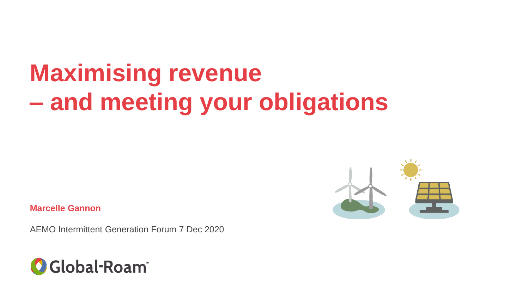# **Maximising revenue – and meeting your obligations**

**Marcelle Gannon**

AEMO Intermittent Generation Forum 7 Dec 2020



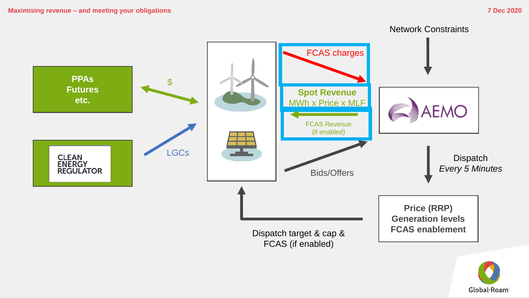

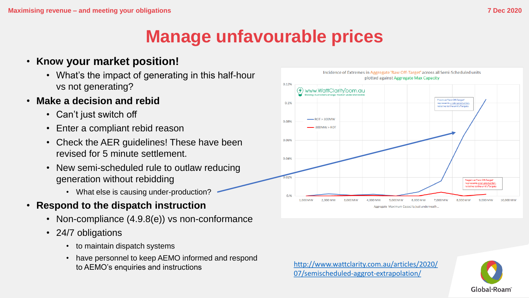## **Manage unfavourable prices**

#### • **Know your market position!**

- What's the impact of generating in this half-hour vs not generating?
- **Make a decision and rebid**
	- Can't just switch off
	- Enter a compliant rebid reason
	- Check the AER guidelines! These have been revised for 5 minute settlement.
	- New semi-scheduled rule to outlaw reducing generation without rebidding
		- What else is causing under-production?
- **Respond to the dispatch instruction**
	- Non-compliance (4.9.8(e)) vs non-conformance
	- 24/7 obligations
		- to maintain dispatch systems
		- have personnel to keep AEMO informed and respond to AEMO's enquiries and instructions that is the [http://www.wattclarity.com.au/articles/2020/](http://www.wattclarity.com.au/articles/2020/07/semischeduled-aggrot-extrapolation/)



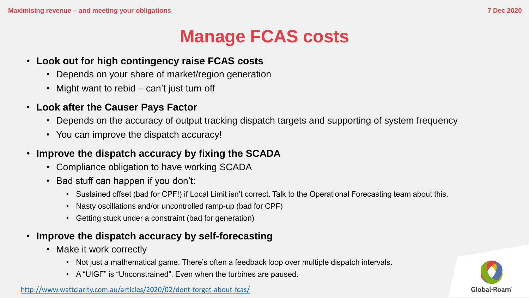### **Manage FCAS costs**

- **Look out for high contingency raise FCAS costs**
	- Depends on your share of market/region generation
	- Might want to rebid can't just turn off
- **Look after the Causer Pays Factor**
	- Depends on the accuracy of output tracking dispatch targets and supporting of system frequency
	- You can improve the dispatch accuracy!
- **Improve the dispatch accuracy by fixing the SCADA**
	- Compliance obligation to have working SCADA
	- Bad stuff can happen if you don't:
		- Sustained offset (bad for CPF!) if Local Limit isn't correct. Talk to the Operational Forecasting team about this.
		- Nasty oscillations and/or uncontrolled ramp-up (bad for CPF)
		- Getting stuck under a constraint (bad for generation)
- **Improve the dispatch accuracy by self-forecasting**
	- Make it work correctly
		- Not just a mathematical game. There's often a feedback loop over multiple dispatch intervals.
		- A "UIGF" is "Unconstrained". Even when the turbines are paused.



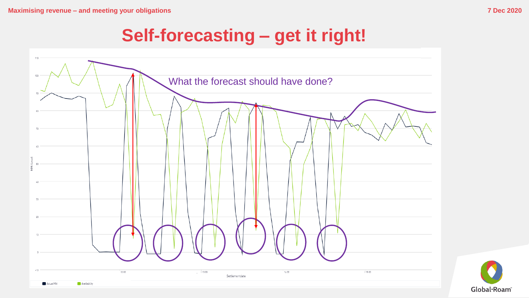### **Self-forecasting – get it right!**



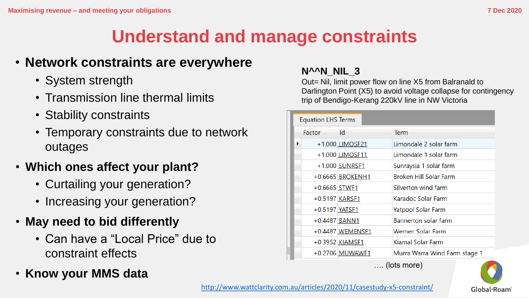# **Understand and manage constraints**

#### • **Network constraints are everywhere**

- System strength
- Transmission line thermal limits
- Stability constraints
- Temporary constraints due to network outages
- **Which ones affect your plant?**
	- Curtailing your generation?
	- Increasing your generation?
- **May need to bid differently**
	- Can have a "Local Price" due to constraint effects
- **Know your MMS data**

#### **N^^N\_NIL\_3**

Out= Nil, limit power flow on line X5 from Balranald to Darlington Point (X5) to avoid voltage collapse for contingency trip of Bendigo-Kerang 220kV line in NW Victoria

| <b>Equation LHS Terms</b> |                 |                  |                               |
|---------------------------|-----------------|------------------|-------------------------------|
|                           | Factor          | Id               | Term                          |
|                           |                 | +1.000 LIMOSF21  | Limondale 2 solar farm        |
|                           |                 | +1.000 LIMOSF11  | Limondale 1 solar farm        |
|                           |                 | +1.000 SUNRSF1   | Sunraysia 1 solar farm        |
|                           |                 | +0.6665 BROKENH1 | <b>Broken Hill Solar Farm</b> |
|                           | $+0.6665$ STWF1 |                  | Silverton wind farm           |
|                           | +0.5197 KARSF1  |                  | Karadoc Solar Farm            |
|                           | +0.5197 YATSF1  |                  | <b>Yatpool Solar Farm</b>     |
|                           | $+0.4487$ BANN1 |                  | <b>Bannerton solar farm</b>   |
|                           |                 | +0.4487 WEMENSF1 | <b>Wemen Solar Farm</b>       |
|                           |                 | +0.3952 KIAMSF1  | Kiamal Solar Farm             |
|                           |                 | +0.2706 MUWAWF1  | Murra Warra Wind Farm stage 1 |

…. (lots more)